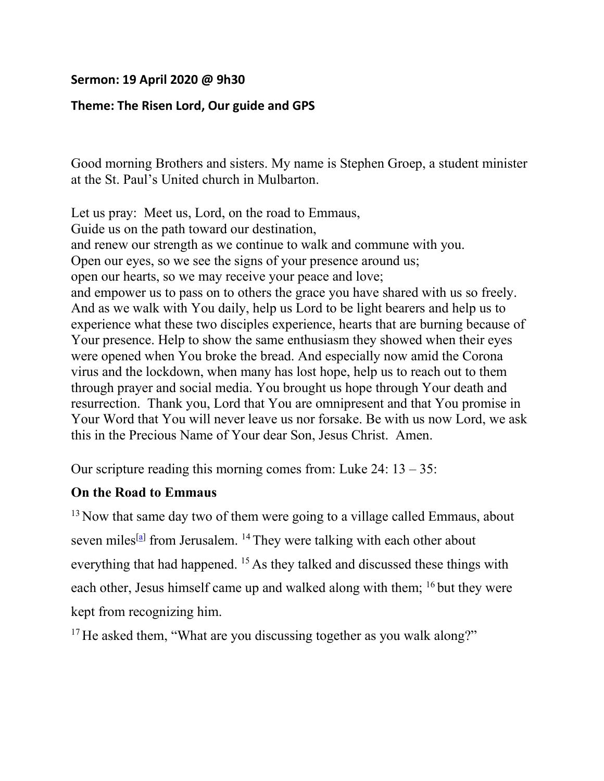## **Sermon: 19 April 2020 @ 9h30**

## **Theme: The Risen Lord, Our guide and GPS**

Good morning Brothers and sisters. My name is Stephen Groep, a student minister at the St. Paul's United church in Mulbarton.

Let us pray: Meet us, Lord, on the road to Emmaus, Guide us on the path toward our destination, and renew our strength as we continue to walk and commune with you. Open our eyes, so we see the signs of your presence around us; open our hearts, so we may receive your peace and love; and empower us to pass on to others the grace you have shared with us so freely. And as we walk with You daily, help us Lord to be light bearers and help us to experience what these two disciples experience, hearts that are burning because of Your presence. Help to show the same enthusiasm they showed when their eyes were opened when You broke the bread. And especially now amid the Corona virus and the lockdown, when many has lost hope, help us to reach out to them through prayer and social media. You brought us hope through Your death and resurrection. Thank you, Lord that You are omnipresent and that You promise in Your Word that You will never leave us nor forsake. Be with us now Lord, we ask this in the Precious Name of Your dear Son, Jesus Christ. Amen.

Our scripture reading this morning comes from: Luke  $24: 13 - 35:$ 

## **On the Road to Emmaus**

 $13$  Now that same day two of them were going to a village called Emmaus, about seven miles<sup>[\[a\]](https://www.biblegateway.com/passage/?search=Luke%2024:13-35&version=NIV#fen-NIV-26005a)</sup> from Jerusalem. <sup>14</sup> They were talking with each other about everything that had happened. <sup>15</sup> As they talked and discussed these things with each other, Jesus himself came up and walked along with them; 16 but they were kept from recognizing him.

 $17$  He asked them, "What are you discussing together as you walk along?"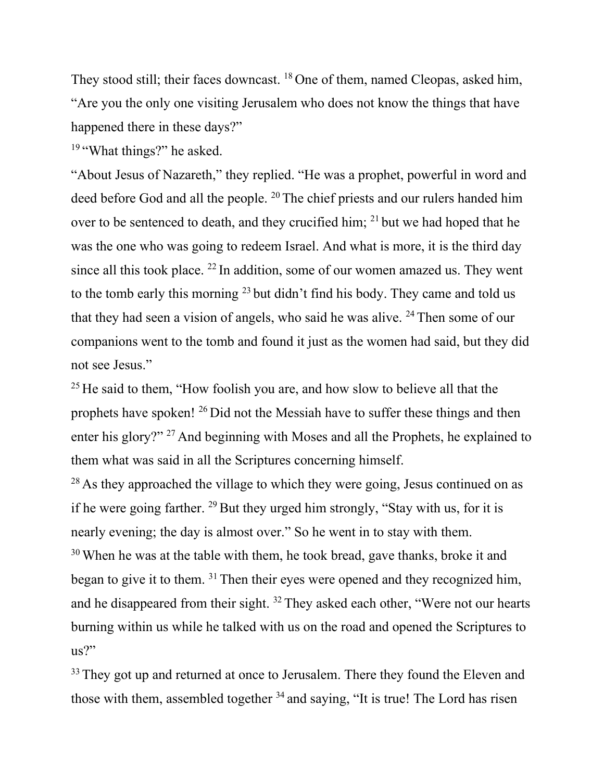They stood still; their faces downcast. <sup>18</sup> One of them, named Cleopas, asked him, "Are you the only one visiting Jerusalem who does not know the things that have happened there in these days?"

<sup>19</sup> "What things?" he asked.

"About Jesus of Nazareth," they replied. "He was a prophet, powerful in word and deed before God and all the people. 20 The chief priests and our rulers handed him over to be sentenced to death, and they crucified him; <sup>21</sup> but we had hoped that he was the one who was going to redeem Israel. And what is more, it is the third day since all this took place. <sup>22</sup> In addition, some of our women amazed us. They went to the tomb early this morning <sup>23</sup> but didn't find his body. They came and told us that they had seen a vision of angels, who said he was alive.  $24$  Then some of our companions went to the tomb and found it just as the women had said, but they did not see Jesus."

 $25$  He said to them, "How foolish you are, and how slow to believe all that the prophets have spoken! 26 Did not the Messiah have to suffer these things and then enter his glory?" 27 And beginning with Moses and all the Prophets, he explained to them what was said in all the Scriptures concerning himself.

 $28$  As they approached the village to which they were going, Jesus continued on as if he were going farther.  $^{29}$  But they urged him strongly, "Stay with us, for it is nearly evening; the day is almost over." So he went in to stay with them.  $30$  When he was at the table with them, he took bread, gave thanks, broke it and began to give it to them. 31 Then their eyes were opened and they recognized him, and he disappeared from their sight. 32 They asked each other, "Were not our hearts burning within us while he talked with us on the road and opened the Scriptures to us?"

<sup>33</sup> They got up and returned at once to Jerusalem. There they found the Eleven and those with them, assembled together  $34$  and saying, "It is true! The Lord has risen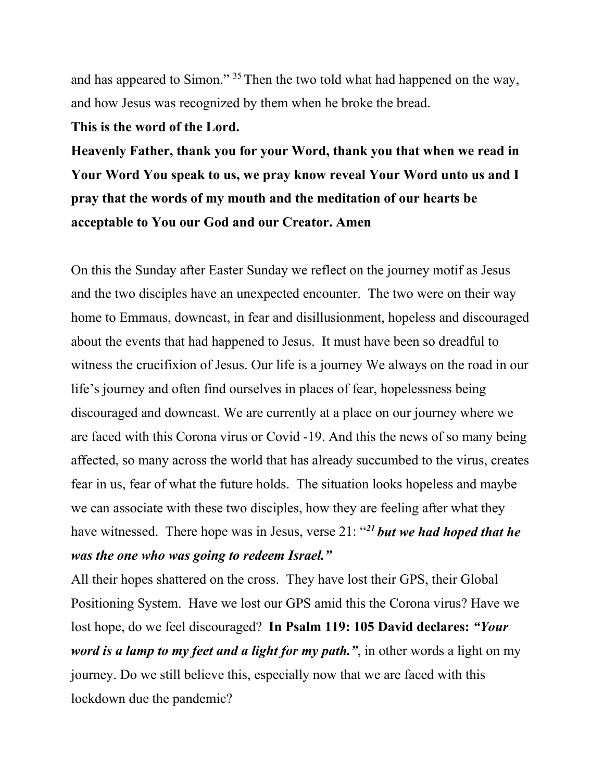and has appeared to Simon." 35 Then the two told what had happened on the way, and how Jesus was recognized by them when he broke the bread.

## **This is the word of the Lord.**

**Heavenly Father, thank you for your Word, thank you that when we read in Your Word You speak to us, we pray know reveal Your Word unto us and I pray that the words of my mouth and the meditation of our hearts be acceptable to You our God and our Creator. Amen**

On this the Sunday after Easter Sunday we reflect on the journey motif as Jesus and the two disciples have an unexpected encounter. The two were on their way home to Emmaus, downcast, in fear and disillusionment, hopeless and discouraged about the events that had happened to Jesus. It must have been so dreadful to witness the crucifixion of Jesus. Our life is a journey We always on the road in our life's journey and often find ourselves in places of fear, hopelessness being discouraged and downcast. We are currently at a place on our journey where we are faced with this Corona virus or Covid -19. And this the news of so many being affected, so many across the world that has already succumbed to the virus, creates fear in us, fear of what the future holds. The situation looks hopeless and maybe we can associate with these two disciples, how they are feeling after what they have witnessed. There hope was in Jesus, verse 21: "*<sup>21</sup> but we had hoped that he was the one who was going to redeem Israel."*

All their hopes shattered on the cross. They have lost their GPS, their Global Positioning System. Have we lost our GPS amid this the Corona virus? Have we lost hope, do we feel discouraged? **In Psalm 119: 105 David declares:** *"Your word is a lamp to my feet and a light for my path."*, in other words a light on my journey. Do we still believe this, especially now that we are faced with this lockdown due the pandemic?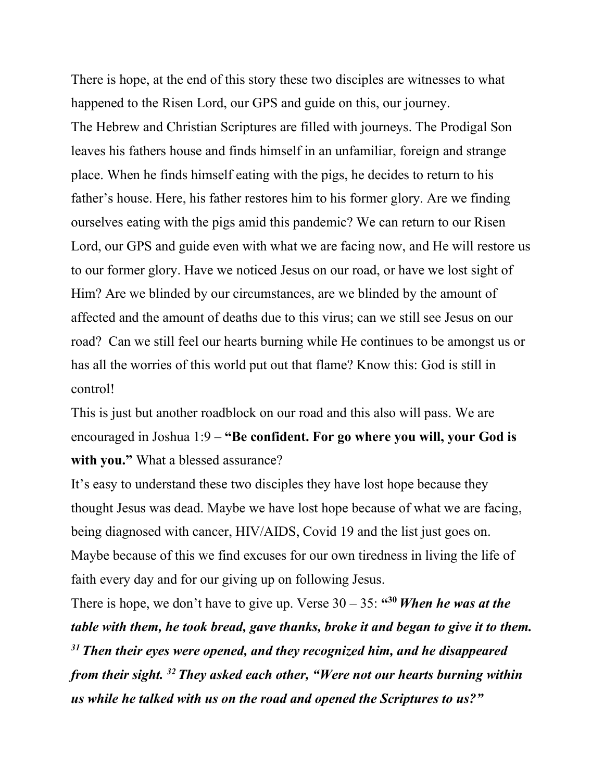There is hope, at the end of this story these two disciples are witnesses to what happened to the Risen Lord, our GPS and guide on this, our journey. The Hebrew and Christian Scriptures are filled with journeys. The Prodigal Son leaves his fathers house and finds himself in an unfamiliar, foreign and strange place. When he finds himself eating with the pigs, he decides to return to his father's house. Here, his father restores him to his former glory. Are we finding ourselves eating with the pigs amid this pandemic? We can return to our Risen Lord, our GPS and guide even with what we are facing now, and He will restore us to our former glory. Have we noticed Jesus on our road, or have we lost sight of Him? Are we blinded by our circumstances, are we blinded by the amount of affected and the amount of deaths due to this virus; can we still see Jesus on our road? Can we still feel our hearts burning while He continues to be amongst us or has all the worries of this world put out that flame? Know this: God is still in control!

This is just but another roadblock on our road and this also will pass. We are encouraged in Joshua 1:9 – **"Be confident. For go where you will, your God is with you."** What a blessed assurance?

It's easy to understand these two disciples they have lost hope because they thought Jesus was dead. Maybe we have lost hope because of what we are facing, being diagnosed with cancer, HIV/AIDS, Covid 19 and the list just goes on. Maybe because of this we find excuses for our own tiredness in living the life of faith every day and for our giving up on following Jesus.

There is hope, we don't have to give up. Verse  $30 - 35$ :  $430$  *When he was at the table with them, he took bread, gave thanks, broke it and began to give it to them. <sup>31</sup> Then their eyes were opened, and they recognized him, and he disappeared from their sight. 32 They asked each other, "Were not our hearts burning within us while he talked with us on the road and opened the Scriptures to us?"*